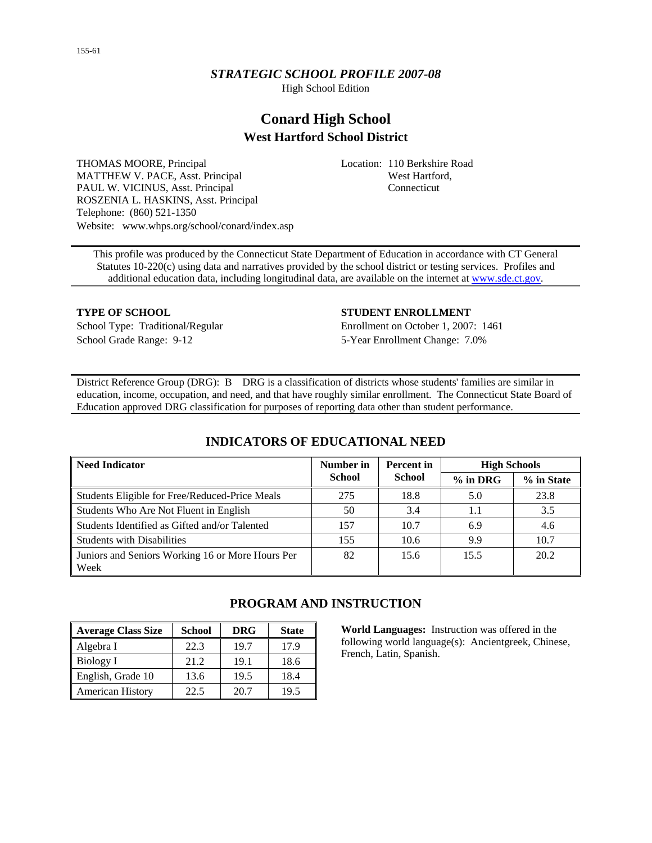# *STRATEGIC SCHOOL PROFILE 2007-08*

High School Edition

# **Conard High School West Hartford School District**

THOMAS MOORE, Principal MATTHEW V. PACE, Asst. Principal PAUL W. VICINUS, Asst. Principal ROSZENIA L. HASKINS, Asst. Principal Telephone: (860) 521-1350 Website: www.whps.org/school/conard/index.asp Location: 110 Berkshire Road West Hartford, Connecticut

This profile was produced by the Connecticut State Department of Education in accordance with CT General Statutes 10-220(c) using data and narratives provided by the school district or testing services. Profiles and additional education data, including longitudinal data, are available on the internet at [www.sde.ct.gov.](http://www.sde.ct.gov/)

School Grade Range: 9-12 5-Year Enrollment Change: 7.0%

#### **TYPE OF SCHOOL STUDENT ENROLLMENT**

School Type: Traditional/Regular Enrollment on October 1, 2007: 1461

District Reference Group (DRG): B DRG is a classification of districts whose students' families are similar in education, income, occupation, and need, and that have roughly similar enrollment. The Connecticut State Board of Education approved DRG classification for purposes of reporting data other than student performance.

| <b>Need Indicator</b>                                    | Number in     | <b>Percent</b> in | <b>High Schools</b> |            |
|----------------------------------------------------------|---------------|-------------------|---------------------|------------|
|                                                          | <b>School</b> | <b>School</b>     | $%$ in DRG          | % in State |
| Students Eligible for Free/Reduced-Price Meals           | 275           | 18.8              | 5.0                 | 23.8       |
| Students Who Are Not Fluent in English                   | 50            | 3.4               |                     | 3.5        |
| Students Identified as Gifted and/or Talented            | 157           | 10.7              | 6.9                 | 4.6        |
| <b>Students with Disabilities</b>                        | 155           | 10.6              | 9.9                 | 10.7       |
| Juniors and Seniors Working 16 or More Hours Per<br>Week | 82            | 15.6              | 15.5                | 20.2       |

# **INDICATORS OF EDUCATIONAL NEED**

| <b>Average Class Size</b> | <b>School</b> | <b>DRG</b> | <b>State</b> |
|---------------------------|---------------|------------|--------------|
| Algebra I                 | 22.3          | 19.7       | 17.9         |
| Biology I                 | 21.2          | 19.1       | 18.6         |
| English, Grade 10         | 13.6          | 19.5       | 18.4         |
| <b>American History</b>   | 22.5          | 20.7       | 19.5         |

# **PROGRAM AND INSTRUCTION**

**World Languages:** Instruction was offered in the following world language(s): Ancientgreek, Chinese, French, Latin, Spanish.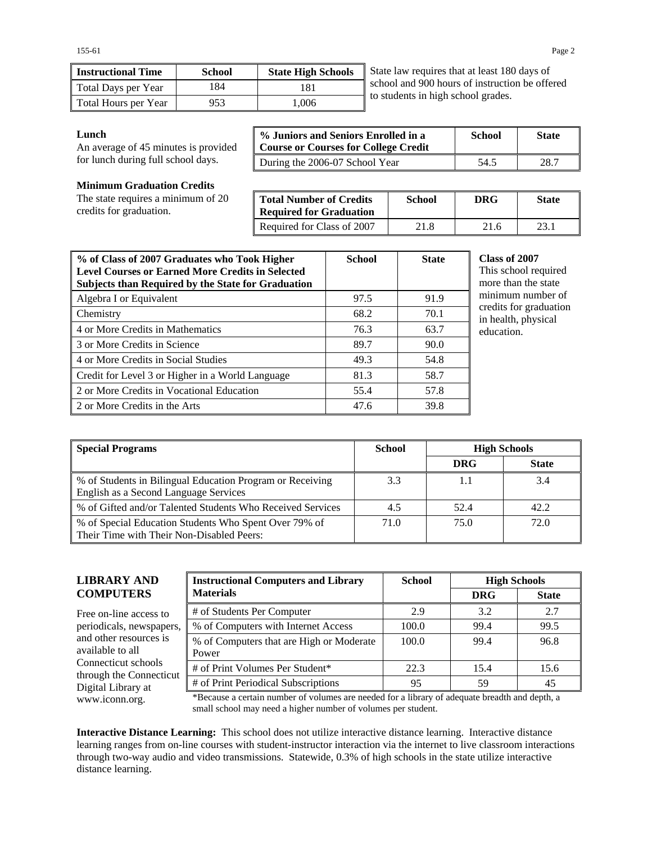| <b>Instructional Time</b> | <b>School</b> | <b>State High Schools</b> |
|---------------------------|---------------|---------------------------|
| Total Days per Year       | 184           | 181                       |
| Total Hours per Year      | 953           | 1.006                     |

State law requires that at least 180 days of school and 900 hours of instruction be offered to students in high school grades.

#### **Lunch**

An average of 45 minutes is provided for lunch during full school days.

| % Juniors and Seniors Enrolled in a<br><b>Course or Courses for College Credit</b> | <b>School</b> | <b>State</b> |
|------------------------------------------------------------------------------------|---------------|--------------|
| During the 2006-07 School Year                                                     | 54.5          | 28.7         |

#### **Minimum Graduation Credits**

The state requires a minimum of 20 credits for graduation.

| <b>Total Number of Credits</b><br><b>Required for Graduation</b> | School | DRG  | <b>State</b> |
|------------------------------------------------------------------|--------|------|--------------|
| Required for Class of 2007                                       | 21.8   | 21.6 | 23.1         |

| % of Class of 2007 Graduates who Took Higher<br><b>Level Courses or Earned More Credits in Selected</b><br><b>Subjects than Required by the State for Graduation</b> | <b>School</b> | <b>State</b> |
|----------------------------------------------------------------------------------------------------------------------------------------------------------------------|---------------|--------------|
| Algebra I or Equivalent                                                                                                                                              | 97.5          | 91.9         |
| Chemistry                                                                                                                                                            | 68.2          | 70.1         |
| 4 or More Credits in Mathematics                                                                                                                                     | 76.3          | 63.7         |
| 3 or More Credits in Science                                                                                                                                         | 89.7          | 90.0         |
| 4 or More Credits in Social Studies                                                                                                                                  | 49.3          | 54.8         |
| Credit for Level 3 or Higher in a World Language                                                                                                                     | 81.3          | 58.7         |
| 2 or More Credits in Vocational Education                                                                                                                            | 55.4          | 57.8         |
| 2 or More Credits in the Arts                                                                                                                                        | 47.6          | 39.8         |

#### **Class of 2007**

is school required ore than the state minimum number of edits for graduation health, physical ucation.

| Special Programs                                                                                     | <b>School</b> |            | <b>High Schools</b> |
|------------------------------------------------------------------------------------------------------|---------------|------------|---------------------|
|                                                                                                      |               | <b>DRG</b> | <b>State</b>        |
| ■ % of Students in Bilingual Education Program or Receiving<br>English as a Second Language Services | 3.3           | 1.1        | 3.4                 |
| ■ % of Gifted and/or Talented Students Who Received Services                                         | 4.5           | 52.4       | 42.2                |
| ■ % of Special Education Students Who Spent Over 79% of<br>Their Time with Their Non-Disabled Peers: | 71.0          | 75.0       | 72.0                |

## **LIBRARY AND COMPUTERS**

Free on-line access to periodicals, newspapers, and other resources is available to all Connecticut schools through the Connecticut Digital Library at

| <b>Instructional Computers and Library</b>        | <b>School</b> | <b>High Schools</b> |              |
|---------------------------------------------------|---------------|---------------------|--------------|
| <b>Materials</b>                                  |               | <b>DRG</b>          | <b>State</b> |
| # of Students Per Computer                        | 2.9           | 3.2                 | 2.7          |
| % of Computers with Internet Access               | 100.0         | 99.4                | 99.5         |
| % of Computers that are High or Moderate<br>Power | 100.0         | 99.4                | 96.8         |
| # of Print Volumes Per Student*                   | 22.3          | 15.4                | 15.6         |
| # of Print Periodical Subscriptions               | 95            | 59                  | 45           |

www.iconn.org. \*Because a certain number of volumes are needed for a library of adequate breadth and depth, a small school may need a higher number of volumes per student.

**Interactive Distance Learning:** This school does not utilize interactive distance learning. Interactive distance learning ranges from on-line courses with student-instructor interaction via the internet to live classroom interactions through two-way audio and video transmissions. Statewide, 0.3% of high schools in the state utilize interactive distance learning.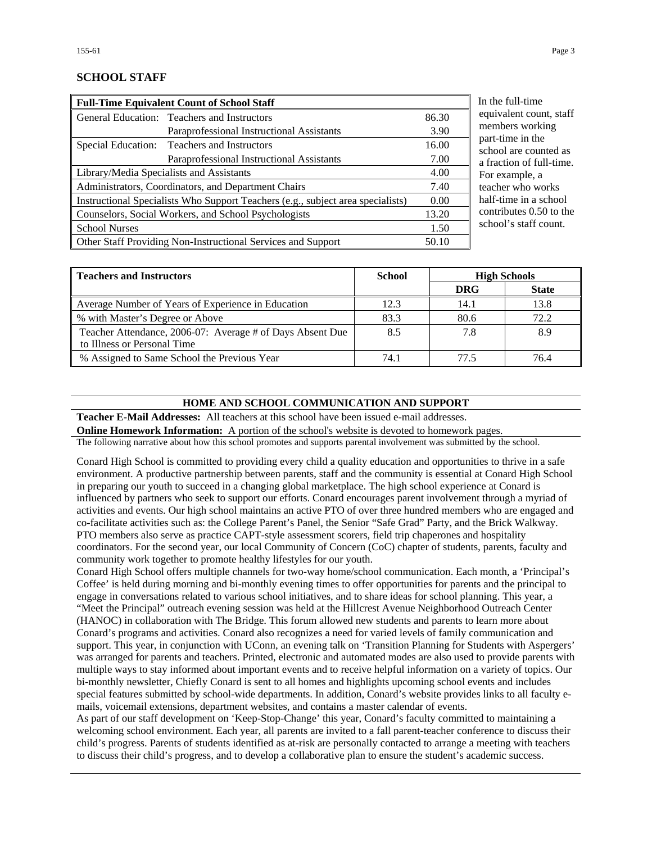# **SCHOOL STAFF**

| <b>Full-Time Equivalent Count of School Staff</b>             |                                                                                 |       |
|---------------------------------------------------------------|---------------------------------------------------------------------------------|-------|
|                                                               | General Education: Teachers and Instructors                                     | 86.30 |
|                                                               | Paraprofessional Instructional Assistants                                       | 3.90  |
|                                                               | Special Education: Teachers and Instructors                                     | 16.00 |
|                                                               | Paraprofessional Instructional Assistants                                       | 7.00  |
|                                                               | Library/Media Specialists and Assistants                                        | 4.00  |
|                                                               | Administrators, Coordinators, and Department Chairs                             | 7.40  |
|                                                               | Instructional Specialists Who Support Teachers (e.g., subject area specialists) | 0.00  |
| Counselors, Social Workers, and School Psychologists<br>13.20 |                                                                                 |       |
| <b>School Nurses</b>                                          |                                                                                 | 1.50  |
|                                                               | Other Staff Providing Non-Instructional Services and Support                    | 50.10 |

ne full-time ivalent count, staff mbers working t-time in the ool are counted as action of full-time. example, a ther who works f-time in a school tributes  $0.50$  to the ool's staff count.

| <b>Teachers and Instructors</b>                                                          | School |            | <b>High Schools</b> |
|------------------------------------------------------------------------------------------|--------|------------|---------------------|
|                                                                                          |        | <b>DRG</b> | <b>State</b>        |
| Average Number of Years of Experience in Education                                       | 12.3   | 14.1       | 13.8                |
| % with Master's Degree or Above                                                          | 83.3   | 80.6       | 72.2                |
| Teacher Attendance, 2006-07: Average # of Days Absent Due<br>to Illness or Personal Time | 8.5    | 7.8        | 8.9                 |
| % Assigned to Same School the Previous Year                                              | 74.1   | 77.5       | 76.4                |

# **HOME AND SCHOOL COMMUNICATION AND SUPPORT**

**Teacher E-Mail Addresses:** All teachers at this school have been issued e-mail addresses.

**Online Homework Information:** A portion of the school's website is devoted to homework pages.

The following narrative about how this school promotes and supports parental involvement was submitted by the school.

Conard High School is committed to providing every child a quality education and opportunities to thrive in a safe environment. A productive partnership between parents, staff and the community is essential at Conard High School in preparing our youth to succeed in a changing global marketplace. The high school experience at Conard is influenced by partners who seek to support our efforts. Conard encourages parent involvement through a myriad of activities and events. Our high school maintains an active PTO of over three hundred members who are engaged and co-facilitate activities such as: the College Parent's Panel, the Senior "Safe Grad" Party, and the Brick Walkway. PTO members also serve as practice CAPT-style assessment scorers, field trip chaperones and hospitality coordinators. For the second year, our local Community of Concern (CoC) chapter of students, parents, faculty and community work together to promote healthy lifestyles for our youth.

Conard High School offers multiple channels for two-way home/school communication. Each month, a 'Principal's Coffee' is held during morning and bi-monthly evening times to offer opportunities for parents and the principal to engage in conversations related to various school initiatives, and to share ideas for school planning. This year, a "Meet the Principal" outreach evening session was held at the Hillcrest Avenue Neighborhood Outreach Center (HANOC) in collaboration with The Bridge. This forum allowed new students and parents to learn more about Conard's programs and activities. Conard also recognizes a need for varied levels of family communication and support. This year, in conjunction with UConn, an evening talk on 'Transition Planning for Students with Aspergers' was arranged for parents and teachers. Printed, electronic and automated modes are also used to provide parents with multiple ways to stay informed about important events and to receive helpful information on a variety of topics. Our bi-monthly newsletter, Chiefly Conard is sent to all homes and highlights upcoming school events and includes special features submitted by school-wide departments. In addition, Conard's website provides links to all faculty emails, voicemail extensions, department websites, and contains a master calendar of events.

As part of our staff development on 'Keep-Stop-Change' this year, Conard's faculty committed to maintaining a welcoming school environment. Each year, all parents are invited to a fall parent-teacher conference to discuss their child's progress. Parents of students identified as at-risk are personally contacted to arrange a meeting with teachers to discuss their child's progress, and to develop a collaborative plan to ensure the student's academic success.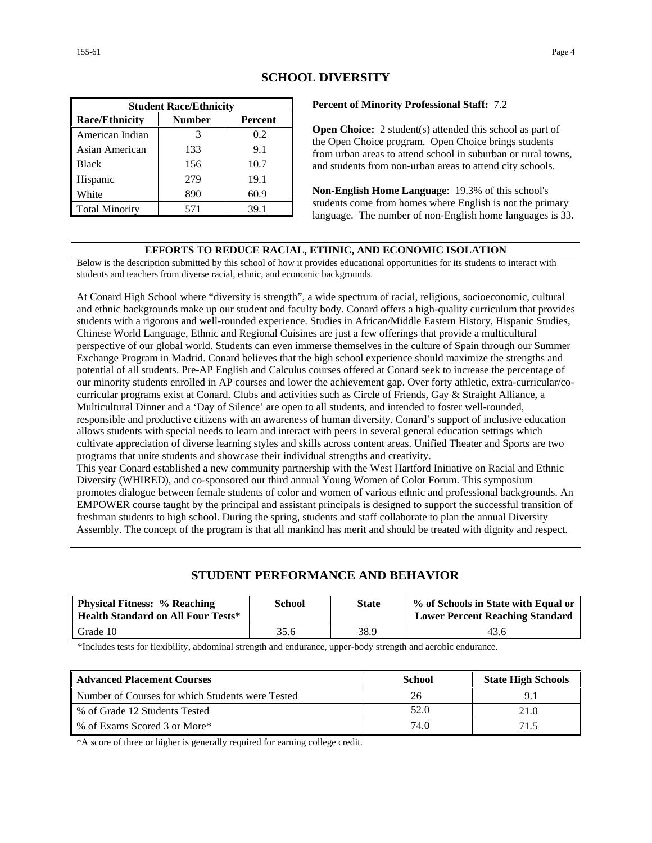| <b>Student Race/Ethnicity</b> |               |         |  |  |
|-------------------------------|---------------|---------|--|--|
| <b>Race/Ethnicity</b>         | <b>Number</b> | Percent |  |  |
| American Indian               | 3             | 0.2     |  |  |
| Asian American                | 133           | 9.1     |  |  |
| <b>Black</b>                  | 156           | 10.7    |  |  |
| Hispanic                      | 279           | 19.1    |  |  |
| White                         | 890           | 60.9    |  |  |
| <b>Total Minority</b>         | 571           | 39.1    |  |  |

## **SCHOOL DIVERSITY**

**Percent of Minority Professional Staff:** 7.2

**Open Choice:** 2 student(s) attended this school as part of the Open Choice program. Open Choice brings students from urban areas to attend school in suburban or rural towns, and students from non-urban areas to attend city schools.

**Non-English Home Language**: 19.3% of this school's students come from homes where English is not the primary language. The number of non-English home languages is 33.

#### **EFFORTS TO REDUCE RACIAL, ETHNIC, AND ECONOMIC ISOLATION**

Below is the description submitted by this school of how it provides educational opportunities for its students to interact with students and teachers from diverse racial, ethnic, and economic backgrounds.

At Conard High School where "diversity is strength", a wide spectrum of racial, religious, socioeconomic, cultural and ethnic backgrounds make up our student and faculty body. Conard offers a high-quality curriculum that provides students with a rigorous and well-rounded experience. Studies in African/Middle Eastern History, Hispanic Studies, Chinese World Language, Ethnic and Regional Cuisines are just a few offerings that provide a multicultural perspective of our global world. Students can even immerse themselves in the culture of Spain through our Summer Exchange Program in Madrid. Conard believes that the high school experience should maximize the strengths and potential of all students. Pre-AP English and Calculus courses offered at Conard seek to increase the percentage of our minority students enrolled in AP courses and lower the achievement gap. Over forty athletic, extra-curricular/cocurricular programs exist at Conard. Clubs and activities such as Circle of Friends, Gay & Straight Alliance, a Multicultural Dinner and a 'Day of Silence' are open to all students, and intended to foster well-rounded, responsible and productive citizens with an awareness of human diversity. Conard's support of inclusive education allows students with special needs to learn and interact with peers in several general education settings which cultivate appreciation of diverse learning styles and skills across content areas. Unified Theater and Sports are two programs that unite students and showcase their individual strengths and creativity.

This year Conard established a new community partnership with the West Hartford Initiative on Racial and Ethnic Diversity (WHIRED), and co-sponsored our third annual Young Women of Color Forum. This symposium promotes dialogue between female students of color and women of various ethnic and professional backgrounds. An EMPOWER course taught by the principal and assistant principals is designed to support the successful transition of freshman students to high school. During the spring, students and staff collaborate to plan the annual Diversity Assembly. The concept of the program is that all mankind has merit and should be treated with dignity and respect.

# **STUDENT PERFORMANCE AND BEHAVIOR**

| <b>Physical Fitness: % Reaching</b><br><b>Health Standard on All Four Tests*</b> | School | <b>State</b> | % of Schools in State with Equal or<br><b>Lower Percent Reaching Standard</b> |
|----------------------------------------------------------------------------------|--------|--------------|-------------------------------------------------------------------------------|
| Grade 10                                                                         | 35.6   | 38.9         | 43.6                                                                          |

\*Includes tests for flexibility, abdominal strength and endurance, upper-body strength and aerobic endurance.

| <b>Advanced Placement Courses</b>                | <b>School</b> | <b>State High Schools</b> |
|--------------------------------------------------|---------------|---------------------------|
| Number of Courses for which Students were Tested | 26            |                           |
| % of Grade 12 Students Tested                    | 52.0          | 21.0                      |
| % of Exams Scored 3 or More*                     | 74.0          | 715                       |

\*A score of three or higher is generally required for earning college credit.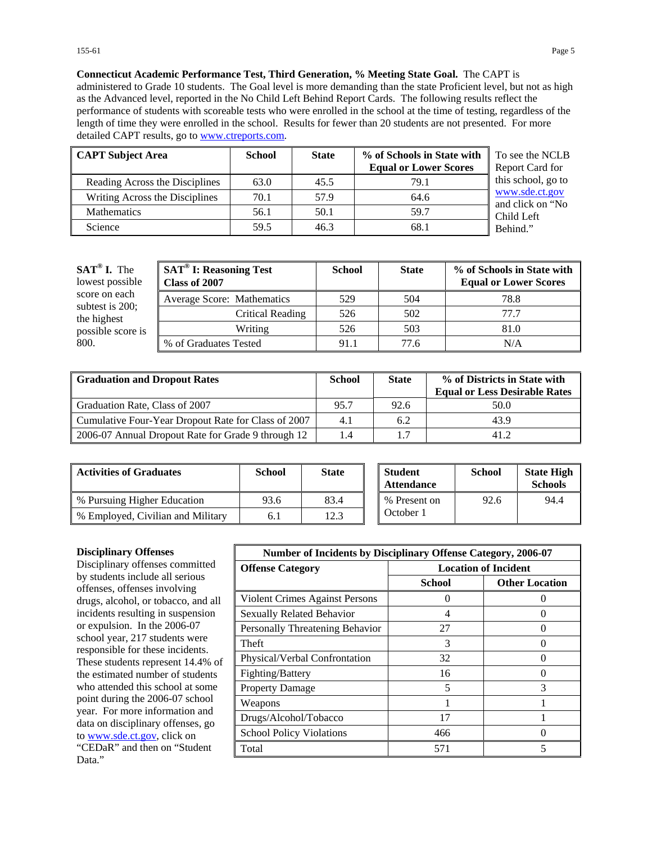**Connecticut Academic Performance Test, Third Generation, % Meeting State Goal.** The CAPT is administered to Grade 10 students. The Goal level is more demanding than the state Proficient level, but not as high as the Advanced level, reported in the No Child Left Behind Report Cards. The following results reflect the performance of students with scoreable tests who were enrolled in the school at the time of testing, regardless of the length of time they were enrolled in the school. Results for fewer than 20 students are not presented. For more detailed CAPT results, go to [www.ctreports.com.](http://www.ctreports.com/)

| <b>CAPT Subject Area</b>       | <b>School</b> | <b>State</b> | % of Schools in State with<br><b>Equal or Lower Scores</b> | To see the NCLB<br>Report Card for |
|--------------------------------|---------------|--------------|------------------------------------------------------------|------------------------------------|
| Reading Across the Disciplines | 63.0          | 45.5         | 79.1                                                       | this school, go to                 |
| Writing Across the Disciplines | 70.1          | 57.9         | 64.6                                                       | www.sde.ct.gov<br>and click on "No |
| <b>Mathematics</b>             | 56.1          | 50.1         | 59.7                                                       | Child Left                         |
| Science                        | 59.5          | 46.3         | 68.1                                                       | Behind."                           |

| $SAT^{\circledast}$ I. The<br>lowest possible | <b>SAT<sup>®</sup> I: Reasoning Test</b><br>Class of 2007 | <b>School</b> | <b>State</b> | % of Schools in State with<br><b>Equal or Lower Scores</b> |
|-----------------------------------------------|-----------------------------------------------------------|---------------|--------------|------------------------------------------------------------|
| score on each                                 | Average Score: Mathematics                                | 529           | 504          | 78.8                                                       |
| subtest is 200;<br>the highest                | Critical Reading                                          | 526           | 502          | 77.7                                                       |
| possible score is                             | Writing                                                   | 526           | 503          | 81.0                                                       |
| 800.                                          | % of Graduates Tested                                     | 91.1          | 77.6         | N/A                                                        |

| <b>Graduation and Dropout Rates</b>                 | <b>School</b> | <b>State</b> | % of Districts in State with<br><b>Equal or Less Desirable Rates</b> |
|-----------------------------------------------------|---------------|--------------|----------------------------------------------------------------------|
| Graduation Rate, Class of 2007                      | 95.7          | 92.6         | 50.0                                                                 |
| Cumulative Four-Year Dropout Rate for Class of 2007 | 4.1           | 6.2          | 43.9                                                                 |
| 2006-07 Annual Dropout Rate for Grade 9 through 12  | 1.4           |              | 41.2                                                                 |

| <b>Activities of Graduates</b>    | School | <b>State</b> | <b>Student</b><br><b>Attendance</b> | <b>School</b> | <b>State High</b><br><b>Schools</b> |
|-----------------------------------|--------|--------------|-------------------------------------|---------------|-------------------------------------|
| % Pursuing Higher Education       | 93.6   | 83.4         | % Present on                        | 92.6          | 94.4                                |
| % Employed, Civilian and Military |        | 12.3         | October 1                           |               |                                     |

#### **Disciplinary Offenses**

Disciplinary offenses committed by students include all serious offenses, offenses involving drugs, alcohol, or tobacco, and all incidents resulting in suspension or expulsion. In the 2006-07 school year, 217 students were responsible for these incidents. These students represent 14.4% of the estimated number of students who attended this school at some point during the 2006-07 school year. For more information and data on disciplinary offenses, go to [www.sde.ct.gov](http://www.sde.ct.gov/), click on "CEDaR" and then on "Student Data."

| <b>Number of Incidents by Disciplinary Offense Category, 2006-07</b> |                             |                       |  |
|----------------------------------------------------------------------|-----------------------------|-----------------------|--|
| <b>Offense Category</b>                                              | <b>Location of Incident</b> |                       |  |
|                                                                      | School                      | <b>Other Location</b> |  |
| Violent Crimes Against Persons                                       |                             |                       |  |
| <b>Sexually Related Behavior</b>                                     | 4                           | $\mathbf{\Omega}$     |  |
| Personally Threatening Behavior                                      | 27                          |                       |  |
| Theft                                                                | 3                           |                       |  |
| Physical/Verbal Confrontation                                        | 32                          |                       |  |
| Fighting/Battery                                                     | 16                          |                       |  |
| <b>Property Damage</b>                                               | 5                           | 3                     |  |
| Weapons                                                              |                             |                       |  |
| Drugs/Alcohol/Tobacco                                                | 17                          |                       |  |
| <b>School Policy Violations</b>                                      | 466                         |                       |  |
| Total                                                                | 571                         |                       |  |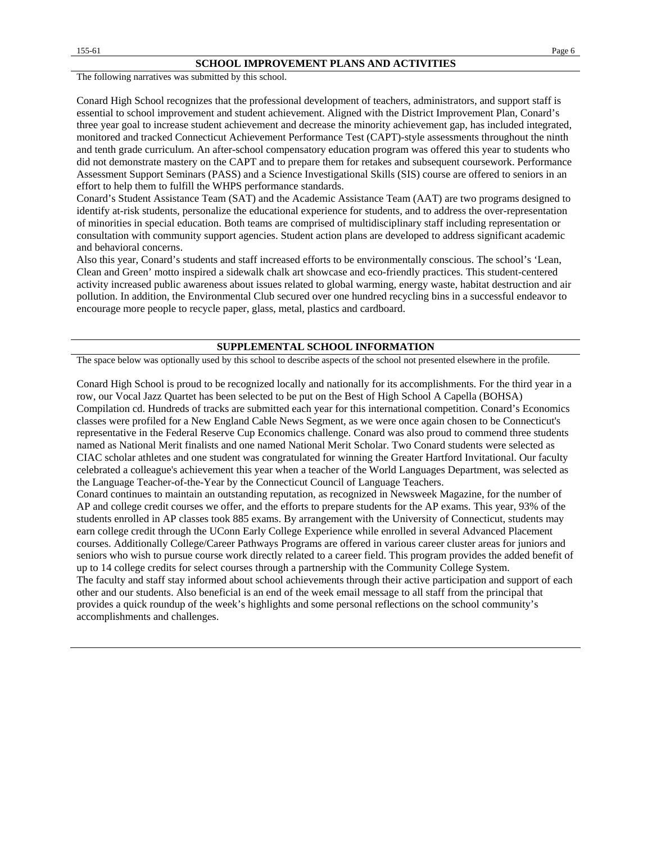The following narratives was submitted by this school.

Conard High School recognizes that the professional development of teachers, administrators, and support staff is essential to school improvement and student achievement. Aligned with the District Improvement Plan, Conard's three year goal to increase student achievement and decrease the minority achievement gap, has included integrated, monitored and tracked Connecticut Achievement Performance Test (CAPT)-style assessments throughout the ninth and tenth grade curriculum. An after-school compensatory education program was offered this year to students who did not demonstrate mastery on the CAPT and to prepare them for retakes and subsequent coursework. Performance Assessment Support Seminars (PASS) and a Science Investigational Skills (SIS) course are offered to seniors in an effort to help them to fulfill the WHPS performance standards.

Conard's Student Assistance Team (SAT) and the Academic Assistance Team (AAT) are two programs designed to identify at-risk students, personalize the educational experience for students, and to address the over-representation of minorities in special education. Both teams are comprised of multidisciplinary staff including representation or consultation with community support agencies. Student action plans are developed to address significant academic and behavioral concerns.

Also this year, Conard's students and staff increased efforts to be environmentally conscious. The school's 'Lean, Clean and Green' motto inspired a sidewalk chalk art showcase and eco-friendly practices. This student-centered activity increased public awareness about issues related to global warming, energy waste, habitat destruction and air pollution. In addition, the Environmental Club secured over one hundred recycling bins in a successful endeavor to encourage more people to recycle paper, glass, metal, plastics and cardboard.

#### **SUPPLEMENTAL SCHOOL INFORMATION**

The space below was optionally used by this school to describe aspects of the school not presented elsewhere in the profile.

Conard High School is proud to be recognized locally and nationally for its accomplishments. For the third year in a row, our Vocal Jazz Quartet has been selected to be put on the Best of High School A Capella (BOHSA) Compilation cd. Hundreds of tracks are submitted each year for this international competition. Conard's Economics classes were profiled for a New England Cable News Segment, as we were once again chosen to be Connecticut's representative in the Federal Reserve Cup Economics challenge. Conard was also proud to commend three students named as National Merit finalists and one named National Merit Scholar. Two Conard students were selected as CIAC scholar athletes and one student was congratulated for winning the Greater Hartford Invitational. Our faculty celebrated a colleague's achievement this year when a teacher of the World Languages Department, was selected as the Language Teacher-of-the-Year by the Connecticut Council of Language Teachers.

Conard continues to maintain an outstanding reputation, as recognized in Newsweek Magazine, for the number of AP and college credit courses we offer, and the efforts to prepare students for the AP exams. This year, 93% of the students enrolled in AP classes took 885 exams. By arrangement with the University of Connecticut, students may earn college credit through the UConn Early College Experience while enrolled in several Advanced Placement courses. Additionally College/Career Pathways Programs are offered in various career cluster areas for juniors and seniors who wish to pursue course work directly related to a career field. This program provides the added benefit of up to 14 college credits for select courses through a partnership with the Community College System. The faculty and staff stay informed about school achievements through their active participation and support of each other and our students. Also beneficial is an end of the week email message to all staff from the principal that provides a quick roundup of the week's highlights and some personal reflections on the school community's accomplishments and challenges.